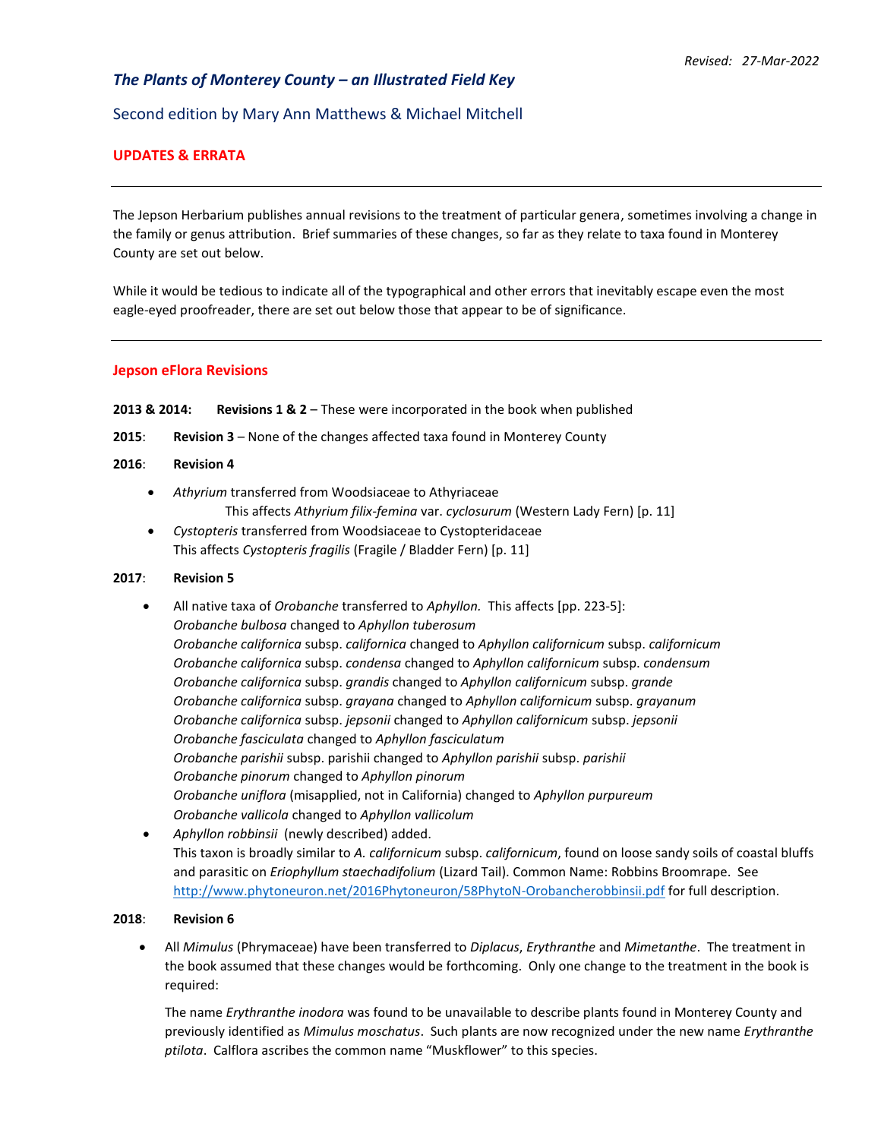# *The Plants of Monterey County – an Illustrated Field Key*

Second edition by Mary Ann Matthews & Michael Mitchell

# **UPDATES & ERRATA**

The Jepson Herbarium publishes annual revisions to the treatment of particular genera, sometimes involving a change in the family or genus attribution. Brief summaries of these changes, so far as they relate to taxa found in Monterey County are set out below.

While it would be tedious to indicate all of the typographical and other errors that inevitably escape even the most eagle-eyed proofreader, there are set out below those that appear to be of significance.

## **Jepson eFlora Revisions**

- **2013 & 2014: Revisions 1 & 2** These were incorporated in the book when published
- **2015**: **Revision 3** None of the changes affected taxa found in Monterey County

## **2016**: **Revision 4**

- *Athyrium* transferred from Woodsiaceae to Athyriaceae This affects *Athyrium filix-femina* var. *cyclosurum* (Western Lady Fern) [p. 11]
- *Cystopteris* transferred from Woodsiaceae to Cystopteridaceae This affects *Cystopteris fragilis* (Fragile / Bladder Fern) [p. 11]

## **2017**: **Revision 5**

- All native taxa of *Orobanche* transferred to *Aphyllon.* This affects [pp. 223-5]: *Orobanche bulbosa* changed to *Aphyllon tuberosum Orobanche californica* subsp. *californica* changed to *Aphyllon californicum* subsp. *californicum Orobanche californica* subsp. *condensa* changed to *Aphyllon californicum* subsp. *condensum Orobanche californica* subsp. *grandis* changed to *Aphyllon californicum* subsp. *grande Orobanche californica* subsp. *grayana* changed to *Aphyllon californicum* subsp. *grayanum Orobanche californica* subsp. *jepsonii* changed to *Aphyllon californicum* subsp. *jepsonii Orobanche fasciculata* changed to *Aphyllon fasciculatum Orobanche parishii* subsp. parishii changed to *Aphyllon parishii* subsp. *parishii Orobanche pinorum* changed to *Aphyllon pinorum Orobanche uniflora* (misapplied, not in California) changed to *Aphyllon purpureum Orobanche vallicola* changed to *Aphyllon vallicolum*
- *Aphyllon robbinsii* (newly described) added. This taxon is broadly similar to *A. californicum* subsp. *californicum*, found on loose sandy soils of coastal bluffs and parasitic on *Eriophyllum staechadifolium* (Lizard Tail). Common Name: Robbins Broomrape. See <http://www.phytoneuron.net/2016Phytoneuron/58PhytoN-Orobancherobbinsii.pdf> for full description.

## **2018**: **Revision 6**

• All *Mimulus* (Phrymaceae) have been transferred to *Diplacus*, *Erythranthe* and *Mimetanthe*. The treatment in the book assumed that these changes would be forthcoming. Only one change to the treatment in the book is required:

The name *Erythranthe inodora* was found to be unavailable to describe plants found in Monterey County and previously identified as *Mimulus moschatus*. Such plants are now recognized under the new name *Erythranthe ptilota*. Calflora ascribes the common name "Muskflower" to this species.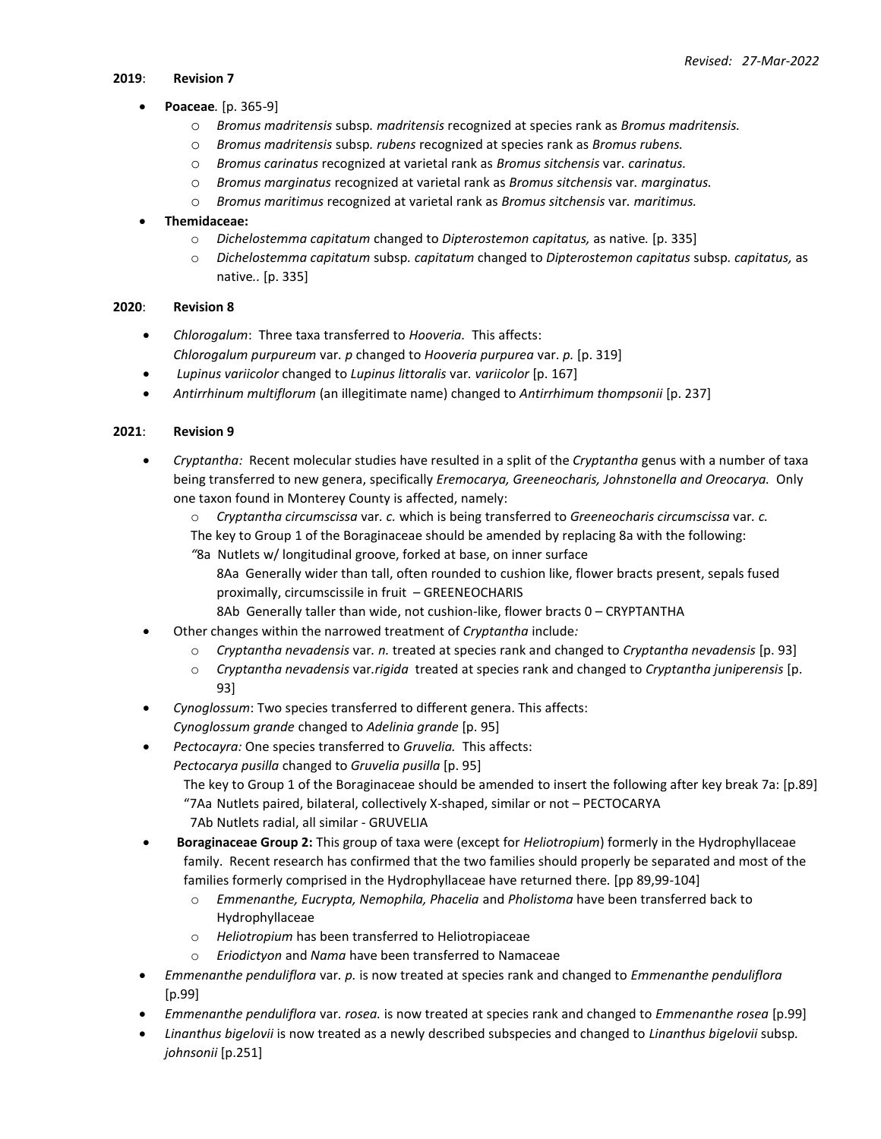## **2019**: **Revision 7**

# • **Poaceae***.* [p. 365-9]

- o *Bromus madritensis* subsp*. madritensis* recognized at species rank as *[Bromus madritensis.](https://ucjeps.berkeley.edu/eflora/eflora_display.php?tid=16263)*
- o *Bromus madritensis* subsp*. rubens* recognized at species rank as *[Bromus rubens.](https://ucjeps.berkeley.edu/eflora/eflora_display.php?tid=16281)*
- o *Bromus carinatus* recognized at varietal rank as *[Bromus sitchensis](https://ucjeps.berkeley.edu/eflora/eflora_display.php?tid=108589)* var*. carinatus.*
- o *Bromus marginatus* recognized at varietal rank as *Bromus sitchensis* var*. [marginatus.](https://ucjeps.berkeley.edu/eflora/eflora_display.php?tid=108590)*
- o *Bromus maritimus* recognized at varietal rank as *[Bromus sitchensis](https://ucjeps.berkeley.edu/eflora/eflora_display.php?tid=108591)* var*. maritimus.*

# • **Themidaceae:**

- o *Dichelostemma capitatum* changed to *[Dipterostemon](https://ucjeps.berkeley.edu/eflora/eflora_display.php?tid=108599) capitatus,* as native*.* [p. 335]
- o *Dichelostemma capitatum* subsp*. capitatum* changed to *[Dipterostemon](https://ucjeps.berkeley.edu/eflora/eflora_display.php?tid=108595) capitatus* subsp*. capitatus,* as native*..* [p. 335]

## **2020**: **Revision 8**

- *Chlorogalum*: Three taxa transferred to *Hooveria.* This affects:
- *Chlorogalum purpureum* var*. p* changed to *Hooveria purpurea* var. *p.* [p. 319]
- *Lupinus variicolor* changed to *Lupinus littoralis* var*. variicolor* [p. 167]
- *Antirrhinum multiflorum* (an illegitimate name) changed to *Antirrhimum thompsonii* [p. 237]

# **2021**: **Revision 9**

- *Cryptantha:* Recent molecular studies have resulted in a split of the *Cryptantha* genus with a number of taxa being transferred to new genera, specifically *Eremocarya, Greeneocharis, Johnstonella and Oreocarya.* Only one taxon found in Monterey County is affected, namely:
	- o *Cryptantha circumscissa* var*. c.* which is being transferred to *Greeneocharis circumscissa* var*. c.*
	- The key to Group 1 of the Boraginaceae should be amended by replacing 8a with the following:
	- *"*8a Nutlets w/ longitudinal groove, forked at base, on inner surface
		- 8Aa Generally wider than tall, often rounded to cushion like, flower bracts present, sepals fused proximally, circumscissile in fruit – GREENEOCHARIS
			- 8Ab Generally taller than wide, not cushion-like, flower bracts 0 CRYPTANTHA
- Other changes within the narrowed treatment of *Cryptantha* include*:*
	- o *Cryptantha nevadensis* var*. n.* treated at species rank and changed to *Cryptantha nevadensis* [p. 93]
	- o *Cryptantha nevadensis* var*.rigida* treated at species rank and changed to *Cryptantha juniperensis* [p. 93]
- *Cynoglossum*: Two species transferred to different genera. This affects: *Cynoglossum grande* changed to *Adelinia grande* [p. 95]
- *Pectocayra:* One species transferred to *Gruvelia.* This affects:
	- *Pectocarya pusilla* changed to *Gruvelia pusilla* [p. 95]

The key to Group 1 of the Boraginaceae should be amended to insert the following after key break 7a: [p.89] "7Aa Nutlets paired, bilateral, collectively X-shaped, similar or not – PECTOCARYA 7Ab Nutlets radial, all similar - GRUVELIA

- 
- **Boraginaceae Group 2:** This group of taxa were (except for *Heliotropium*) formerly in the Hydrophyllaceae family. Recent research has confirmed that the two families should properly be separated and most of the families formerly comprised in the Hydrophyllaceae have returned there*.* [pp 89,99-104]
	- o *Emmenanthe, Eucrypta, Nemophila, Phacelia* and *Pholistoma* have been transferred back to Hydrophyllaceae
	- o *Heliotropium* has been transferred to Heliotropiaceae
	- o *Eriodictyon* and *Nama* have been transferred to Namaceae
- *Emmenanthe penduliflora* var*. p.* is now treated at species rank and changed to *Emmenanthe penduliflora*  [p.99]
- *Emmenanthe penduliflora* var*. rosea.* is now treated at species rank and changed to *Emmenanthe rosea* [p.99]
- *Linanthus bigelovii* is now treated as a newly described subspecies and changed to *Linanthus bigelovii* subsp*. johnsonii* [p.251]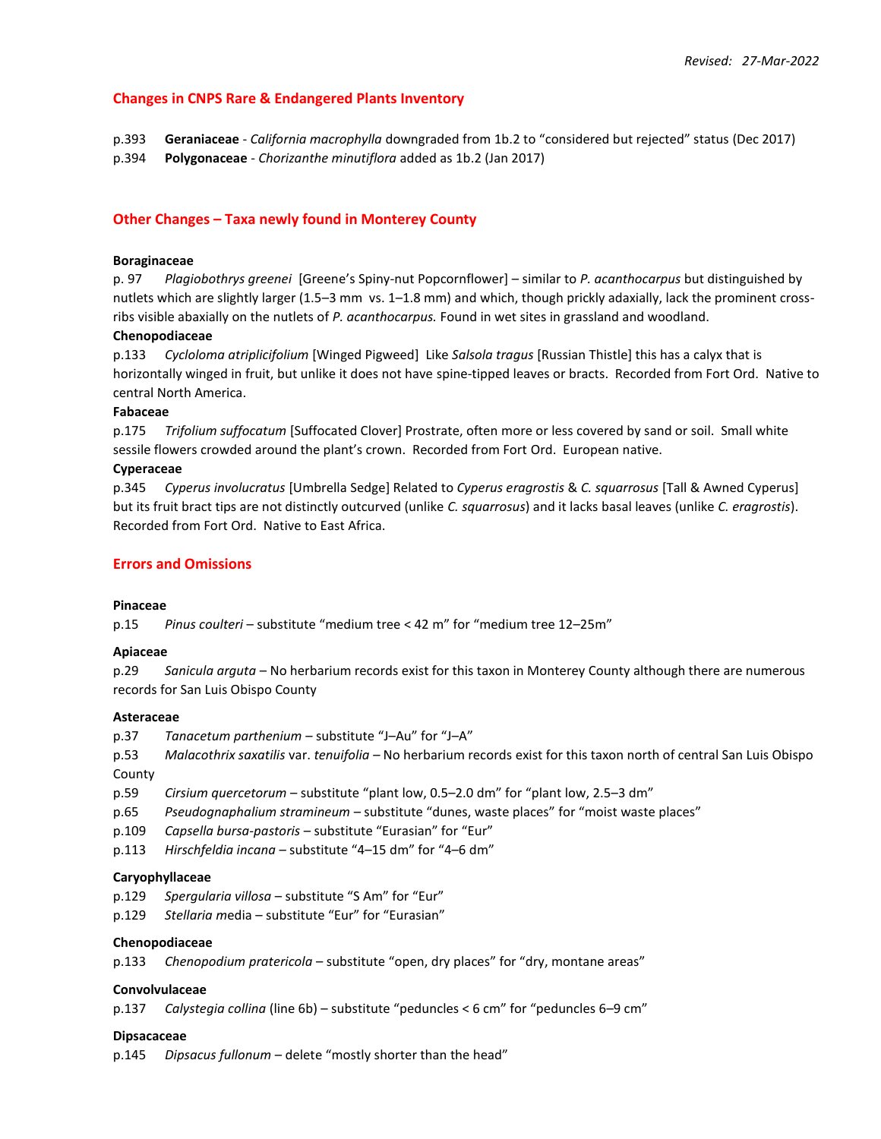# **Changes in CNPS Rare & Endangered Plants Inventory**

p.393 **Geraniaceae** - *California macrophylla* downgraded from 1b.2 to "considered but rejected" status (Dec 2017) p.394 **Polygonaceae** - *Chorizanthe minutiflora* added as 1b.2 (Jan 2017)

## **Other Changes – Taxa newly found in Monterey County**

## **Boraginaceae**

p. 97 *Plagiobothrys greenei* [Greene's Spiny-nut Popcornflower] – similar to *P. acanthocarpus* but distinguished by nutlets which are slightly larger (1.5–3 mm vs. 1–1.8 mm) and which, though prickly adaxially, lack the prominent crossribs visible abaxially on the nutlets of *P. acanthocarpus.* Found in wet sites in grassland and woodland.

## **Chenopodiaceae**

p.133 *Cycloloma atriplicifolium* [Winged Pigweed] Like *Salsola tragus* [Russian Thistle] this has a calyx that is horizontally winged in fruit, but unlike it does not have spine-tipped leaves or bracts. Recorded from Fort Ord. Native to central North America.

### **Fabaceae**

p.175 *Trifolium suffocatum* [Suffocated Clover] Prostrate, often more or less covered by sand or soil. Small white sessile flowers crowded around the plant's crown. Recorded from Fort Ord. European native.

#### **Cyperaceae**

p.345 *Cyperus involucratus* [Umbrella Sedge] Related to *Cyperus eragrostis* & *C. squarrosus* [Tall & Awned Cyperus] but its fruit bract tips are not distinctly outcurved (unlike *C. squarrosus*) and it lacks basal leaves (unlike *C. eragrostis*). Recorded from Fort Ord. Native to East Africa.

## **Errors and Omissions**

#### **Pinaceae**

p.15 *Pinus coulteri* – substitute "medium tree < 42 m" for "medium tree 12–25m"

#### **Apiaceae**

p.29 *Sanicula arguta* – No herbarium records exist for this taxon in Monterey County although there are numerous records for San Luis Obispo County

#### **Asteraceae**

p.37 *Tanacetum parthenium* – substitute "J–Au" for "J–A"

p.53 *Malacothrix saxatilis* var. *tenuifolia –* No herbarium records exist for this taxon north of central San Luis Obispo County

- p.59 *Cirsium quercetorum* substitute "plant low, 0.5–2.0 dm" for "plant low, 2.5–3 dm"
- p.65 *Pseudognaphalium stramineum* substitute "dunes, waste places" for "moist waste places"
- p.109 *Capsella bursa-pastoris* substitute "Eurasian" for "Eur"
- p.113 *Hirschfeldia incana* substitute "4–15 dm" for "4–6 dm"

#### **Caryophyllaceae**

- p.129 *Spergularia villosa* substitute "S Am" for "Eur"
- p.129 *Stellaria m*edia substitute "Eur" for "Eurasian"

#### **Chenopodiaceae**

p.133 *Chenopodium pratericola* – substitute "open, dry places" for "dry, montane areas"

## **Convolvulaceae**

p.137 *Calystegia collina* (line 6b) – substitute "peduncles < 6 cm" for "peduncles 6–9 cm"

## **Dipsacaceae**

p.145 *Dipsacus fullonum* – delete "mostly shorter than the head"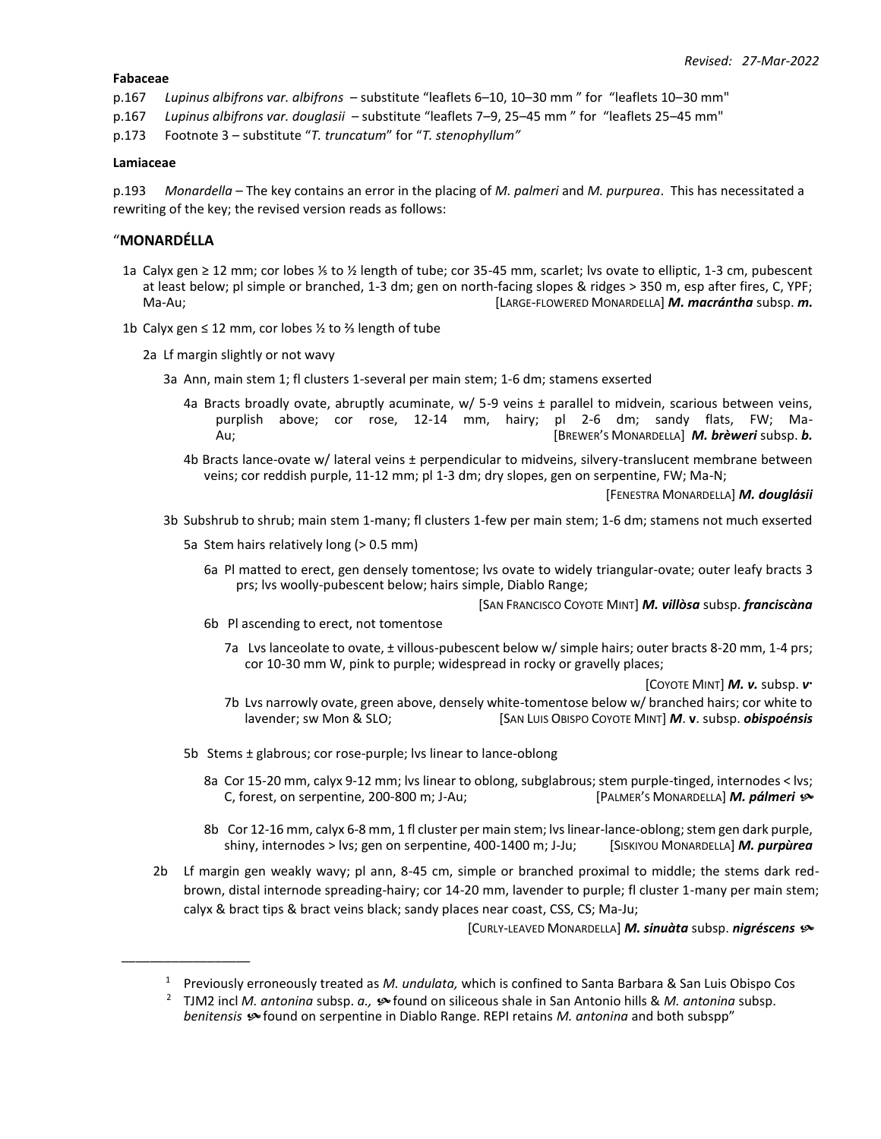### **Fabaceae**

- p.167 *Lupinus albifrons var. albifrons*  substitute "leaflets 6–10, 10–30 mm " for "leaflets 10–30 mm"
- p.167 *Lupinus albifrons var. douglasii*  substitute "leaflets 7–9, 25–45 mm " for "leaflets 25–45 mm"
- p.173 Footnote 3 substitute "*T. truncatum*" for "*T. stenophyllum"*

## **Lamiaceae**

p.193 *Monardella –* The key contains an error in the placing of *M. palmeri* and *M. purpurea*. This has necessitated a rewriting of the key; the revised version reads as follows:

## "**MONARDÉLLA**

*\_\_\_\_\_\_\_\_\_\_\_\_\_\_\_\_\_\_*

- 1a Calyx gen ≥ 12 mm; cor lobes ⅕ to ½ length of tube; cor 35-45 mm, scarlet; lvs ovate to elliptic, 1-3 cm, pubescent at least below; pl simple or branched, 1-3 dm; gen on north-facing slopes & ridges > 350 m, esp after fires, C, YPF; Ma-Au; [LARGE-FLOWERED MONARDELLA] *M. macrántha* subsp. *m.*
- 1b Calyx gen ≤ 12 mm, cor lobes ½ to ⅔ length of tube
	- 2a Lf margin slightly or not wavy
		- 3a Ann, main stem 1; fl clusters 1-several per main stem; 1-6 dm; stamens exserted
			- 4a Bracts broadly ovate, abruptly acuminate, w/ 5-9 veins ± parallel to midvein, scarious between veins, purplish above; cor rose, 12-14 mm, hairy; pl 2-6 dm; sandy flats, FW; Ma-Au; [BREWER'S MONARDELLA] *M. brèweri* subsp. *b.*
			- 4b Bracts lance-ovate w/ lateral veins ± perpendicular to midveins, silvery-translucent membrane between veins; cor reddish purple, 11-12 mm; pl 1-3 dm; dry slopes, gen on serpentine, FW; Ma-N;

[FENESTRA MONARDELLA] *M. douglásii*

- 3b Subshrub to shrub; main stem 1-many; fl clusters 1-few per main stem; 1-6 dm; stamens not much exserted
	- 5a Stem hairs relatively long (> 0.5 mm)
		- 6a Pl matted to erect, gen densely tomentose; lvs ovate to widely triangular-ovate; outer leafy bracts 3 prs; lvs woolly-pubescent below; hairs simple, Diablo Range;

[SAN FRANCISCO COYOTE MINT] *M. villòsa* subsp. *franciscàna*

- 6b Pl ascending to erect, not tomentose
	- 7a Lvs lanceolate to ovate, ± villous-pubescent below w/ simple hairs; outer bracts 8-20 mm, 1-4 prs; cor 10-30 mm W, pink to purple; widespread in rocky or gravelly places;

[COYOTE MINT] *M. v.* subsp. *v* **.**

- 7b Lvs narrowly ovate, green above, densely white-tomentose below w/ branched hairs; cor white to lavender; sw Mon & SLO; [SAN LUIS OBISPO COYOTE MINT] *M*. **v**. subsp. *obispoénsis*
- 5b Stems ± glabrous; cor rose-purple; lvs linear to lance-oblong
	- 8a Cor 15-20 mm, calyx 9-12 mm; lvs linear to oblong, subglabrous; stem purple-tinged, internodes < lvs; C, forest, on serpentine, 200-800 m; J-Au; [PALMER'S MONARDELLA] *M. pálmeri*
	- 8b Cor 12-16 mm, calyx 6-8 mm, 1 fl cluster per main stem; lvs linear-lance-oblong; stem gen dark purple, shiny, internodes > lvs; gen on serpentine, 400-1400 m; J-Ju; [SISKIYOU MONARDELLA] *M. purpùrea*
- 2b Lf margin gen weakly wavy; pl ann, 8-45 cm, simple or branched proximal to middle; the stems dark redbrown, distal internode spreading-hairy; cor 14-20 mm, lavender to purple; fl cluster 1-many per main stem; calyx & bract tips & bract veins black; sandy places near coast, CSS, CS; Ma-Ju;

[CURLY-LEAVED MONARDELLA] *M. sinuàta* subsp. *nigréscens*

<sup>1</sup> Previously erroneously treated as *M. undulata,* which is confined to Santa Barbara & San Luis Obispo Cos

<sup>2</sup> TJM2 incl *M. antonina* subsp. *a.,*  found on siliceous shale in San Antonio hills & *M. antonina* subsp. *benitensis*  found on serpentine in Diablo Range. REPI retains *M. antonina* and both subspp"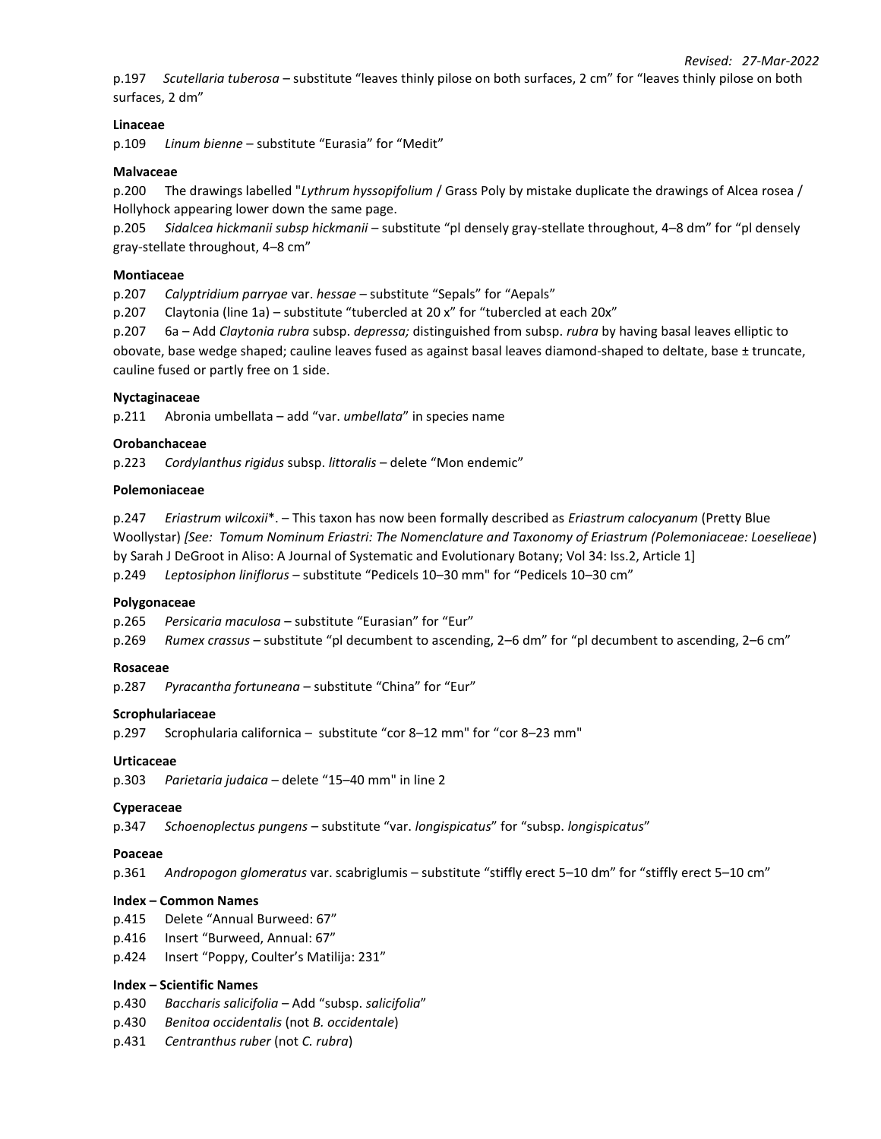p.197 *Scutellaria tuberosa* – substitute "leaves thinly pilose on both surfaces, 2 cm" for "leaves thinly pilose on both surfaces, 2 dm"

## **Linaceae**

p.109 *Linum bienne* – substitute "Eurasia" for "Medit"

### **Malvaceae**

p.200 The drawings labelled "*Lythrum hyssopifolium* / Grass Poly by mistake duplicate the drawings of Alcea rosea / Hollyhock appearing lower down the same page.

p.205 *Sidalcea hickmanii subsp hickmanii* – substitute "pl densely gray-stellate throughout, 4–8 dm" for "pl densely gray-stellate throughout, 4–8 cm"

### **Montiaceae**

p.207 *Calyptridium parryae* var. *hessae* – substitute "Sepals" for "Aepals"

p.207 Claytonia (line 1a) – substitute "tubercled at 20 x" for "tubercled at each 20x"

p.207 6a – Add *Claytonia rubra* subsp. *depressa;* distinguished from subsp. *rubra* by having basal leaves elliptic to

obovate, base wedge shaped; cauline leaves fused as against basal leaves diamond-shaped to deltate, base ± truncate, cauline fused or partly free on 1 side.

#### **Nyctaginaceae**

p.211 Abronia umbellata – add "var. *umbellata*" in species name

#### **Orobanchaceae**

p.223 *Cordylanthus rigidus* subsp. *littoralis* – delete "Mon endemic"

#### **Polemoniaceae**

p.247 *Eriastrum wilcoxii*\*. – This taxon has now been formally described as *Eriastrum calocyanum* (Pretty Blue Woollystar) *[See: Tomum Nominum Eriastri: The Nomenclature and Taxonomy of Eriastrum (Polemoniaceae: Loeselieae*) by Sarah J DeGroot in Aliso: A Journal of Systematic and Evolutionary Botany; Vol 34: Iss.2, Article 1] p.249 *Leptosiphon liniflorus* – substitute "Pedicels 10–30 mm" for "Pedicels 10–30 cm"

#### **Polygonaceae**

p.265 *Persicaria maculosa* – substitute "Eurasian" for "Eur"

p.269 *Rumex crassus* – substitute "pl decumbent to ascending, 2–6 dm" for "pl decumbent to ascending, 2–6 cm"

#### **Rosaceae**

p.287 *Pyracantha fortuneana* – substitute "China" for "Eur"

#### **Scrophulariaceae**

p.297 Scrophularia californica – substitute "cor 8–12 mm" for "cor 8–23 mm"

## **Urticaceae**

p.303 *Parietaria judaica* – delete "15–40 mm" in line 2

## **Cyperaceae**

p.347 *Schoenoplectus pungens* – substitute "var. *longispicatus*" for "subsp. *longispicatus*"

#### **Poaceae**

p.361 *Andropogon glomeratus* var. scabriglumis – substitute "stiffly erect 5–10 dm" for "stiffly erect 5–10 cm"

#### **Index – Common Names**

p.415 Delete "Annual Burweed: 67"

- p.416 Insert "Burweed, Annual: 67"
- p.424 Insert "Poppy, Coulter's Matilija: 231"

## **Index – Scientific Names**

- p.430 *Baccharis salicifolia* Add "subsp. *salicifolia*"
- p.430 *Benitoa occidentalis* (not *B. occidentale*)
- p.431 *Centranthus ruber* (not *C. rubra*)